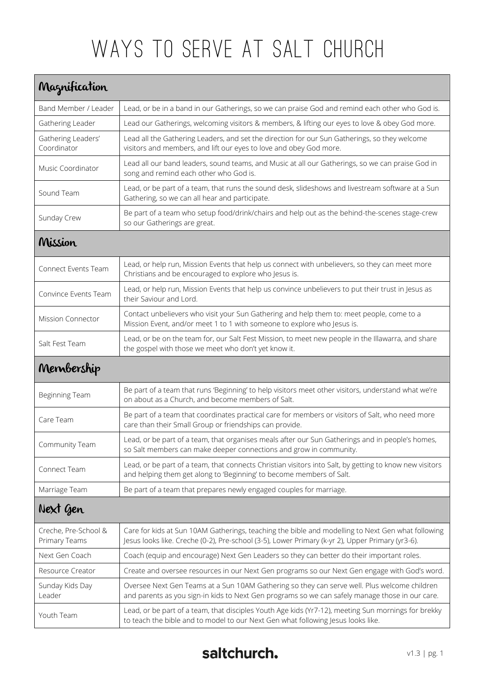## Ways to Serve at Salt CHURCH

| Maznification                         |                                                                                                                                                                                                       |  |
|---------------------------------------|-------------------------------------------------------------------------------------------------------------------------------------------------------------------------------------------------------|--|
| Band Member / Leader                  | Lead, or be in a band in our Gatherings, so we can praise God and remind each other who God is.                                                                                                       |  |
| Gathering Leader                      | Lead our Gatherings, welcoming visitors & members, & lifting our eyes to love & obey God more.                                                                                                        |  |
| Gathering Leaders'<br>Coordinator     | Lead all the Gathering Leaders, and set the direction for our Sun Gatherings, so they welcome<br>visitors and members, and lift our eyes to love and obey God more.                                   |  |
| Music Coordinator                     | Lead all our band leaders, sound teams, and Music at all our Gatherings, so we can praise God in<br>song and remind each other who God is.                                                            |  |
| Sound Team                            | Lead, or be part of a team, that runs the sound desk, slideshows and livestream software at a Sun<br>Gathering, so we can all hear and participate.                                                   |  |
| Sunday Crew                           | Be part of a team who setup food/drink/chairs and help out as the behind-the-scenes stage-crew<br>so our Gatherings are great.                                                                        |  |
| Mission                               |                                                                                                                                                                                                       |  |
| Connect Events Team                   | Lead, or help run, Mission Events that help us connect with unbelievers, so they can meet more<br>Christians and be encouraged to explore who Jesus is.                                               |  |
| Convince Events Team                  | Lead, or help run, Mission Events that help us convince unbelievers to put their trust in Jesus as<br>their Saviour and Lord.                                                                         |  |
| <b>Mission Connector</b>              | Contact unbelievers who visit your Sun Gathering and help them to: meet people, come to a<br>Mission Event, and/or meet 1 to 1 with someone to explore who Jesus is.                                  |  |
| Salt Fest Team                        | Lead, or be on the team for, our Salt Fest Mission, to meet new people in the Illawarra, and share<br>the gospel with those we meet who don't yet know it.                                            |  |
| Membership                            |                                                                                                                                                                                                       |  |
| Beginning Team                        | Be part of a team that runs 'Beginning' to help visitors meet other visitors, understand what we're<br>on about as a Church, and become members of Salt.                                              |  |
| Care Team                             | Be part of a team that coordinates practical care for members or visitors of Salt, who need more<br>care than their Small Group or friendships can provide.                                           |  |
| Community Team                        | Lead, or be part of a team, that organises meals after our Sun Gatherings and in people's homes,<br>so Salt members can make deeper connections and grow in community.                                |  |
| Connect Team                          | Lead, or be part of a team, that connects Christian visitors into Salt, by getting to know new visitors<br>and helping them get along to 'Beginning' to become members of Salt.                       |  |
| Marriage Team                         | Be part of a team that prepares newly engaged couples for marriage.                                                                                                                                   |  |
| Next Gen                              |                                                                                                                                                                                                       |  |
| Creche, Pre-School &<br>Primary Teams | Care for kids at Sun 10AM Gatherings, teaching the bible and modelling to Next Gen what following<br>Jesus looks like. Creche (0-2), Pre-school (3-5), Lower Primary (k-yr 2), Upper Primary (yr3-6). |  |
| Next Gen Coach                        | Coach (equip and encourage) Next Gen Leaders so they can better do their important roles.                                                                                                             |  |
| Resource Creator                      | Create and oversee resources in our Next Gen programs so our Next Gen engage with God's word.                                                                                                         |  |
| Sunday Kids Day<br>Leader             | Oversee Next Gen Teams at a Sun 10AM Gathering so they can serve well. Plus welcome children<br>and parents as you sign-in kids to Next Gen programs so we can safely manage those in our care.       |  |
| Youth Team                            | Lead, or be part of a team, that disciples Youth Age kids (Yr7-12), meeting Sun mornings for brekky<br>to teach the bible and to model to our Next Gen what following Jesus looks like.               |  |